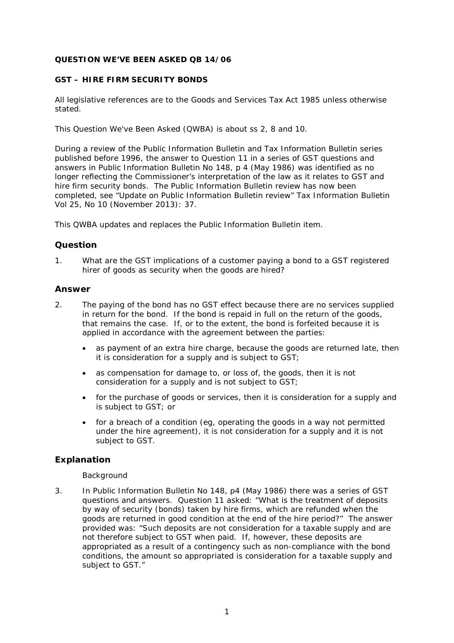## **QUESTION WE'VE BEEN ASKED QB 14/06**

## **GST – HIRE FIRM SECURITY BONDS**

All legislative references are to the Goods and Services Tax Act 1985 unless otherwise stated.

This Question We've Been Asked (QWBA) is about ss 2, 8 and 10.

During a review of the *Public Information Bulletin* and *Tax Information Bulletin* series published before 1996, the answer to Question 11 in a series of GST questions and answers in *Public Information Bulletin* No 148, p 4 (May 1986) was identified as no longer reflecting the Commissioner's interpretation of the law as it relates to GST and hire firm security bonds. The Public Information Bulletin review has now been completed, see "Update on Public Information Bulletin review" *Tax Information Bulletin* Vol 25*,* No 10 (November 2013): 37*.*

This QWBA updates and replaces the *Public Information Bulletin* item.

## **Question**

1. What are the GST implications of a customer paying a bond to a GST registered hirer of goods as security when the goods are hired?

## **Answer**

- 2. The paying of the bond has no GST effect because there are no services supplied in return for the bond. If the bond is repaid in full on the return of the goods, that remains the case. If, or to the extent, the bond is forfeited because it is applied in accordance with the agreement between the parties:
	- as payment of an extra hire charge, because the goods are returned late, then it is consideration for a supply and is subject to GST;
	- as compensation for damage to, or loss of, the goods, then it is not consideration for a supply and is not subject to GST;
	- for the purchase of goods or services, then it is consideration for a supply and is subject to GST; or
	- for a breach of a condition (eg, operating the goods in a way not permitted under the hire agreement), it is not consideration for a supply and it is not subject to GST.

# **Explanation**

#### *Background*

3. In *Public Information Bulletin* No 148, p4 (May 1986) there was a series of GST questions and answers. Question 11 asked: "What is the treatment of deposits by way of security (bonds) taken by hire firms, which are refunded when the goods are returned in good condition at the end of the hire period?" The answer provided was: "Such deposits are not consideration for a taxable supply and are not therefore subject to GST when paid. If, however, these deposits are appropriated as a result of a contingency such as non-compliance with the bond conditions, the amount so appropriated is consideration for a taxable supply and subject to GST."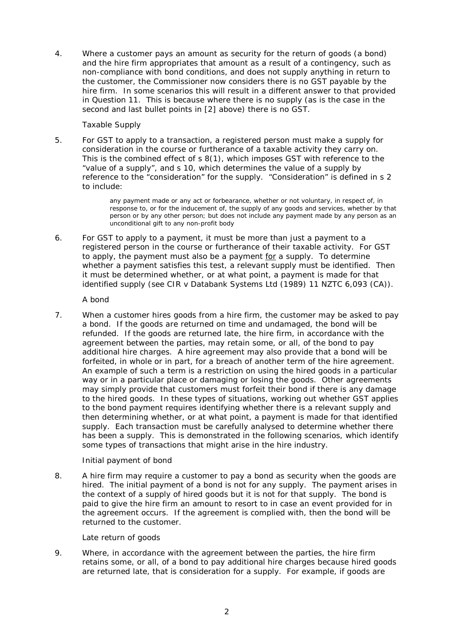4. Where a customer pays an amount as security for the return of goods (a bond) and the hire firm appropriates that amount as a result of a contingency, such as non-compliance with bond conditions, and does not supply anything in return to the customer, the Commissioner now considers there is no GST payable by the hire firm. In some scenarios this will result in a different answer to that provided in Question 11. This is because where there is no supply (as is the case in the second and last bullet points in [2] above) there is no GST.

## *Taxable Supply*

5. For GST to apply to a transaction, a registered person must make a supply for consideration in the course or furtherance of a taxable activity they carry on. This is the combined effect of s 8(1), which imposes GST with reference to the "value of a supply", and s 10, which determines the value of a supply by reference to the "consideration" for the supply. "Consideration" is defined in s 2 to include:

> any payment made or any act or forbearance, whether or not voluntary, in respect of, in response to, or for the inducement of, the supply of any goods and services, whether by that person or by any other person; but does not include any payment made by any person as an unconditional gift to any non-profit body

6. For GST to apply to a payment, it must be more than just a payment to a registered person in the course or furtherance of their taxable activity. For GST to apply, the payment must also be a payment for a supply. To determine whether a payment satisfies this test, a relevant supply must be identified. Then it must be determined whether, or at what point, a payment is made for that identified supply (see *CIR v Databank Systems Ltd* (1989) 11 NZTC 6,093 (CA)).

*A bond*

7. When a customer hires goods from a hire firm, the customer may be asked to pay a bond. If the goods are returned on time and undamaged, the bond will be refunded. If the goods are returned late, the hire firm, in accordance with the agreement between the parties, may retain some, or all, of the bond to pay additional hire charges. A hire agreement may also provide that a bond will be forfeited, in whole or in part, for a breach of another term of the hire agreement. An example of such a term is a restriction on using the hired goods in a particular way or in a particular place or damaging or losing the goods. Other agreements may simply provide that customers must forfeit their bond if there is any damage to the hired goods. In these types of situations, working out whether GST applies to the bond payment requires identifying whether there is a relevant supply and then determining whether, or at what point, a payment is made for that identified supply. Each transaction must be carefully analysed to determine whether there has been a supply. This is demonstrated in the following scenarios, which identify some types of transactions that might arise in the hire industry.

# *Initial payment of bond*

8. A hire firm may require a customer to pay a bond as security when the goods are hired. The initial payment of a bond is not for any supply. The payment arises in the context of a supply of hired goods but it is not for that supply. The bond is paid to give the hire firm an amount to resort to in case an event provided for in the agreement occurs. If the agreement is complied with, then the bond will be returned to the customer.

### *Late return of goods*

9. Where, in accordance with the agreement between the parties, the hire firm retains some, or all, of a bond to pay additional hire charges because hired goods are returned late, that is consideration for a supply. For example, if goods are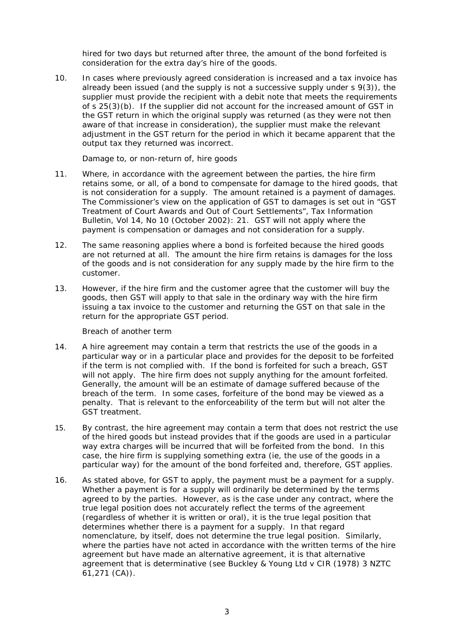hired for two days but returned after three, the amount of the bond forfeited is consideration for the extra day's hire of the goods.

10. In cases where previously agreed consideration is increased and a tax invoice has already been issued (and the supply is not a successive supply under s 9(3)), the supplier must provide the recipient with a debit note that meets the requirements of s 25(3)(b). If the supplier did not account for the increased amount of GST in the GST return in which the original supply was returned (as they were not then aware of that increase in consideration), the supplier must make the relevant adjustment in the GST return for the period in which it became apparent that the output tax they returned was incorrect.

#### *Damage to, or non-return of, hire goods*

- 11. Where, in accordance with the agreement between the parties, the hire firm retains some, or all, of a bond to compensate for damage to the hired goods, that is not consideration for a supply. The amount retained is a payment of damages. The Commissioner's view on the application of GST to damages is set out in "GST Treatment of Court Awards and Out of Court Settlements", *Tax Information Bulletin,* Vol 14, No 10 (October 2002): 21. GST will not apply where the payment is compensation or damages and not consideration for a supply.
- 12. The same reasoning applies where a bond is forfeited because the hired goods are not returned at all. The amount the hire firm retains is damages for the loss of the goods and is not consideration for any supply made by the hire firm to the customer.
- 13. However, if the hire firm and the customer agree that the customer will buy the goods, then GST will apply to that sale in the ordinary way with the hire firm issuing a tax invoice to the customer and returning the GST on that sale in the return for the appropriate GST period.

#### *Breach of another term*

- 14. A hire agreement may contain a term that restricts the use of the goods in a particular way or in a particular place and provides for the deposit to be forfeited if the term is not complied with. If the bond is forfeited for such a breach, GST will not apply. The hire firm does not supply anything for the amount forfeited. Generally, the amount will be an estimate of damage suffered because of the breach of the term. In some cases, forfeiture of the bond may be viewed as a penalty. That is relevant to the enforceability of the term but will not alter the GST treatment.
- 15. By contrast, the hire agreement may contain a term that does not restrict the use of the hired goods but instead provides that if the goods are used in a particular way extra charges will be incurred that will be forfeited from the bond. In this case, the hire firm is supplying something extra (ie, the use of the goods in a particular way) for the amount of the bond forfeited and, therefore, GST applies.
- 16. As stated above, for GST to apply, the payment must be a payment for a supply. Whether a payment is for a supply will ordinarily be determined by the terms agreed to by the parties. However, as is the case under any contract, where the true legal position does not accurately reflect the terms of the agreement (regardless of whether it is written or oral), it is the true legal position that determines whether there is a payment for a supply. In that regard nomenclature, by itself, does not determine the true legal position. Similarly, where the parties have not acted in accordance with the written terms of the hire agreement but have made an alternative agreement, it is that alternative agreement that is determinative (see *Buckley & Young Ltd v CIR* (1978) 3 NZTC 61,271 (CA)).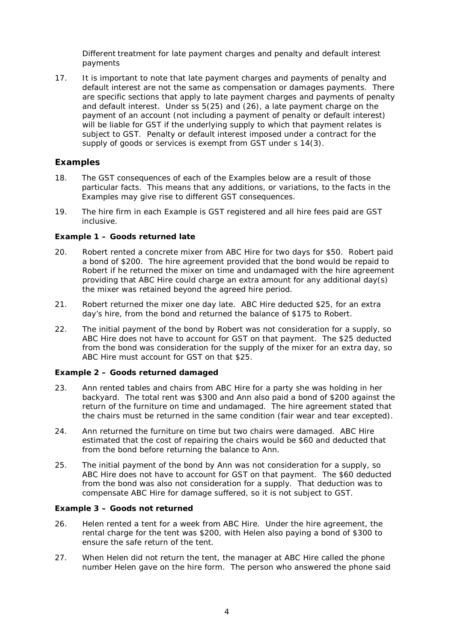*Different treatment for late payment charges and penalty and default interest payments*

17. It is important to note that late payment charges and payments of penalty and default interest are not the same as compensation or damages payments. There are specific sections that apply to late payment charges and payments of penalty and default interest. Under ss 5(25) and (26), a late payment charge on the payment of an account (not including a payment of penalty or default interest) will be liable for GST if the underlying supply to which that payment relates is subject to GST. Penalty or default interest imposed under a contract for the supply of goods or services is exempt from GST under s 14(3).

## **Examples**

- 18. The GST consequences of each of the Examples below are a result of those particular facts. This means that any additions, or variations, to the facts in the Examples may give rise to different GST consequences.
- 19. The hire firm in each Example is GST registered and all hire fees paid are GST inclusive.

## **Example 1 – Goods returned late**

- 20. Robert rented a concrete mixer from ABC Hire for two days for \$50. Robert paid a bond of \$200. The hire agreement provided that the bond would be repaid to Robert if he returned the mixer on time and undamaged with the hire agreement providing that ABC Hire could charge an extra amount for any additional day(s) the mixer was retained beyond the agreed hire period.
- 21. Robert returned the mixer one day late. ABC Hire deducted \$25, for an extra day's hire, from the bond and returned the balance of \$175 to Robert.
- 22. The initial payment of the bond by Robert was not consideration for a supply, so ABC Hire does not have to account for GST on that payment. The \$25 deducted from the bond was consideration for the supply of the mixer for an extra day, so ABC Hire must account for GST on that \$25.

### **Example 2 – Goods returned damaged**

- 23. Ann rented tables and chairs from ABC Hire for a party she was holding in her backyard. The total rent was \$300 and Ann also paid a bond of \$200 against the return of the furniture on time and undamaged. The hire agreement stated that the chairs must be returned in the same condition (fair wear and tear excepted).
- 24. Ann returned the furniture on time but two chairs were damaged. ABC Hire estimated that the cost of repairing the chairs would be \$60 and deducted that from the bond before returning the balance to Ann.
- 25. The initial payment of the bond by Ann was not consideration for a supply, so ABC Hire does not have to account for GST on that payment. The \$60 deducted from the bond was also not consideration for a supply. That deduction was to compensate ABC Hire for damage suffered, so it is not subject to GST.

### **Example 3 – Goods not returned**

- 26. Helen rented a tent for a week from ABC Hire. Under the hire agreement, the rental charge for the tent was \$200, with Helen also paying a bond of \$300 to ensure the safe return of the tent.
- 27. When Helen did not return the tent, the manager at ABC Hire called the phone number Helen gave on the hire form. The person who answered the phone said